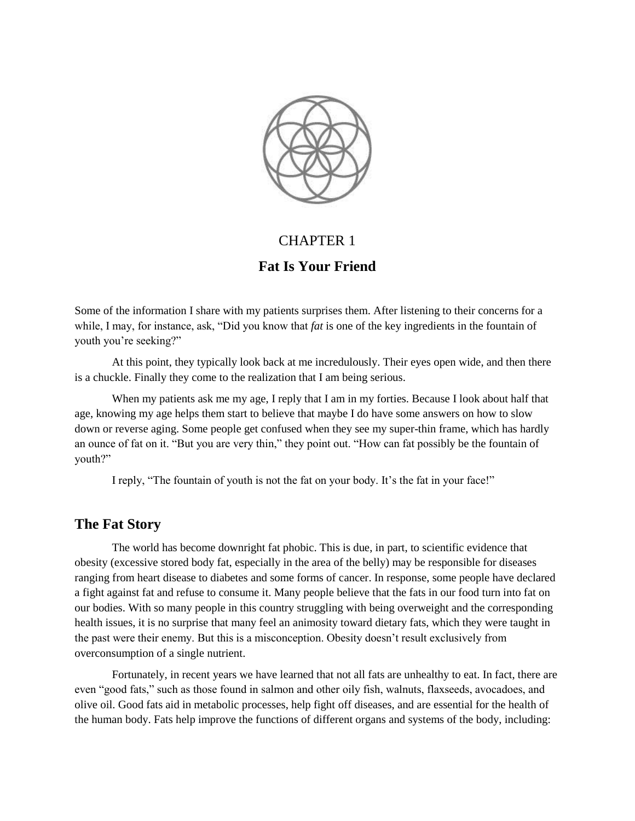

# CHAPTER 1

# **Fat Is Your Friend**

Some of the information I share with my patients surprises them. After listening to their concerns for a while, I may, for instance, ask, "Did you know that *fat* is one of the key ingredients in the fountain of youth you're seeking?"

At this point, they typically look back at me incredulously. Their eyes open wide, and then there is a chuckle. Finally they come to the realization that I am being serious.

When my patients ask me my age, I reply that I am in my forties. Because I look about half that age, knowing my age helps them start to believe that maybe I do have some answers on how to slow down or reverse aging. Some people get confused when they see my super-thin frame, which has hardly an ounce of fat on it. "But you are very thin," they point out. "How can fat possibly be the fountain of youth?"

I reply, "The fountain of youth is not the fat on your body. It's the fat in your face!"

## **The Fat Story**

The world has become downright fat phobic. This is due, in part, to scientific evidence that obesity (excessive stored body fat, especially in the area of the belly) may be responsible for diseases ranging from heart disease to diabetes and some forms of cancer. In response, some people have declared a fight against fat and refuse to consume it. Many people believe that the fats in our food turn into fat on our bodies. With so many people in this country struggling with being overweight and the corresponding health issues, it is no surprise that many feel an animosity toward dietary fats, which they were taught in the past were their enemy. But this is a misconception. Obesity doesn't result exclusively from overconsumption of a single nutrient.

Fortunately, in recent years we have learned that not all fats are unhealthy to eat. In fact, there are even "good fats," such as those found in salmon and other oily fish, walnuts, flaxseeds, avocadoes, and olive oil. Good fats aid in metabolic processes, help fight off diseases, and are essential for the health of the human body. Fats help improve the functions of different organs and systems of the body, including: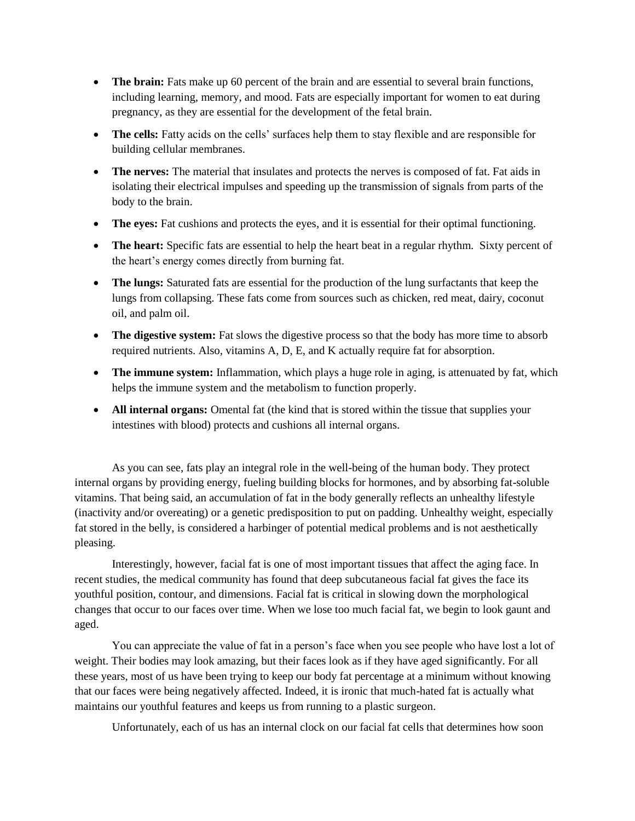- The brain: Fats make up 60 percent of the brain and are essential to several brain functions, including learning, memory, and mood. Fats are especially important for women to eat during pregnancy, as they are essential for the development of the fetal brain.
- The cells: Fatty acids on the cells' surfaces help them to stay flexible and are responsible for building cellular membranes.
- The nerves: The material that insulates and protects the nerves is composed of fat. Fat aids in isolating their electrical impulses and speeding up the transmission of signals from parts of the body to the brain.
- The eyes: Fat cushions and protects the eyes, and it is essential for their optimal functioning.
- **The heart:** Specific fats are essential to help the heart beat in a regular rhythm. Sixty percent of the heart's energy comes directly from burning fat.
- The lungs: Saturated fats are essential for the production of the lung surfactants that keep the lungs from collapsing. These fats come from sources such as chicken, red meat, dairy, coconut oil, and palm oil.
- The digestive system: Fat slows the digestive process so that the body has more time to absorb required nutrients. Also, vitamins A, D, E, and K actually require fat for absorption.
- **The immune system:** Inflammation, which plays a huge role in aging, is attenuated by fat, which helps the immune system and the metabolism to function properly.
- **All internal organs:** Omental fat (the kind that is stored within the tissue that supplies your intestines with blood) protects and cushions all internal organs.

As you can see, fats play an integral role in the well-being of the human body. They protect internal organs by providing energy, fueling building blocks for hormones, and by absorbing fat-soluble vitamins. That being said, an accumulation of fat in the body generally reflects an unhealthy lifestyle (inactivity and/or overeating) or a genetic predisposition to put on padding. Unhealthy weight, especially fat stored in the belly, is considered a harbinger of potential medical problems and is not aesthetically pleasing.

Interestingly, however, facial fat is one of most important tissues that affect the aging face. In recent studies, the medical community has found that deep subcutaneous facial fat gives the face its youthful position, contour, and dimensions. Facial fat is critical in slowing down the morphological changes that occur to our faces over time. When we lose too much facial fat, we begin to look gaunt and aged.

You can appreciate the value of fat in a person's face when you see people who have lost a lot of weight. Their bodies may look amazing, but their faces look as if they have aged significantly. For all these years, most of us have been trying to keep our body fat percentage at a minimum without knowing that our faces were being negatively affected. Indeed, it is ironic that much-hated fat is actually what maintains our youthful features and keeps us from running to a plastic surgeon.

Unfortunately, each of us has an internal clock on our facial fat cells that determines how soon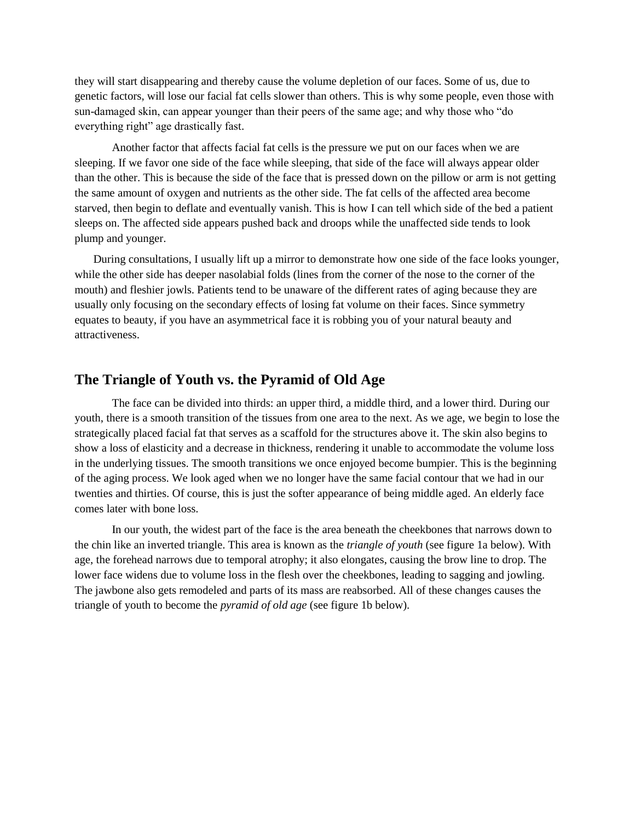they will start disappearing and thereby cause the volume depletion of our faces. Some of us, due to genetic factors, will lose our facial fat cells slower than others. This is why some people, even those with sun-damaged skin, can appear younger than their peers of the same age; and why those who "do everything right" age drastically fast.

Another factor that affects facial fat cells is the pressure we put on our faces when we are sleeping. If we favor one side of the face while sleeping, that side of the face will always appear older than the other. This is because the side of the face that is pressed down on the pillow or arm is not getting the same amount of oxygen and nutrients as the other side. The fat cells of the affected area become starved, then begin to deflate and eventually vanish. This is how I can tell which side of the bed a patient sleeps on. The affected side appears pushed back and droops while the unaffected side tends to look plump and younger.

During consultations, I usually lift up a mirror to demonstrate how one side of the face looks younger, while the other side has deeper nasolabial folds (lines from the corner of the nose to the corner of the mouth) and fleshier jowls. Patients tend to be unaware of the different rates of aging because they are usually only focusing on the secondary effects of losing fat volume on their faces. Since symmetry equates to beauty, if you have an asymmetrical face it is robbing you of your natural beauty and attractiveness.

#### **The Triangle of Youth vs. the Pyramid of Old Age**

The face can be divided into thirds: an upper third, a middle third, and a lower third. During our youth, there is a smooth transition of the tissues from one area to the next. As we age, we begin to lose the strategically placed facial fat that serves as a scaffold for the structures above it. The skin also begins to show a loss of elasticity and a decrease in thickness, rendering it unable to accommodate the volume loss in the underlying tissues. The smooth transitions we once enjoyed become bumpier. This is the beginning of the aging process. We look aged when we no longer have the same facial contour that we had in our twenties and thirties. Of course, this is just the softer appearance of being middle aged. An elderly face comes later with bone loss.

In our youth, the widest part of the face is the area beneath the cheekbones that narrows down to the chin like an inverted triangle. This area is known as the *triangle of youth* (see figure 1a below)*.* With age, the forehead narrows due to temporal atrophy; it also elongates, causing the brow line to drop. The lower face widens due to volume loss in the flesh over the cheekbones, leading to sagging and jowling. The jawbone also gets remodeled and parts of its mass are reabsorbed. All of these changes causes the triangle of youth to become the *pyramid of old age* (see figure 1b below)*.*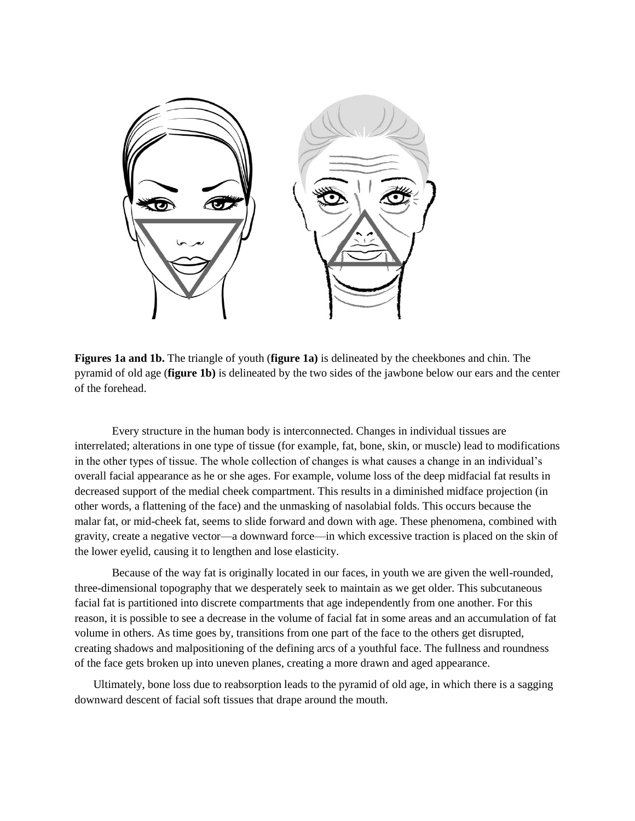

**Figures 1a and 1b.** The triangle of youth (**figure 1a)** is delineated by the cheekbones and chin. The pyramid of old age (**figure 1b)** is delineated by the two sides of the jawbone below our ears and the center of the forehead.

Every structure in the human body is interconnected. Changes in individual tissues are interrelated; alterations in one type of tissue (for example, fat, bone, skin, or muscle) lead to modifications in the other types of tissue. The whole collection of changes is what causes a change in an individual's overall facial appearance as he or she ages. For example, volume loss of the deep midfacial fat results in decreased support of the medial cheek compartment. This results in a diminished midface projection (in other words, a flattening of the face) and the unmasking of nasolabial folds. This occurs because the malar fat, or mid-cheek fat, seems to slide forward and down with age. These phenomena, combined with gravity, create a negative vector—a downward force—in which excessive traction is placed on the skin of the lower eyelid, causing it to lengthen and lose elasticity.

Because of the way fat is originally located in our faces, in youth we are given the well-rounded, three-dimensional topography that we desperately seek to maintain as we get older. This subcutaneous facial fat is partitioned into discrete compartments that age independently from one another. For this reason, it is possible to see a decrease in the volume of facial fat in some areas and an accumulation of fat volume in others. As time goes by, transitions from one part of the face to the others get disrupted, creating shadows and malpositioning of the defining arcs of a youthful face. The fullness and roundness of the face gets broken up into uneven planes, creating a more drawn and aged appearance.

Ultimately, bone loss due to reabsorption leads to the pyramid of old age, in which there is a sagging downward descent of facial soft tissues that drape around the mouth.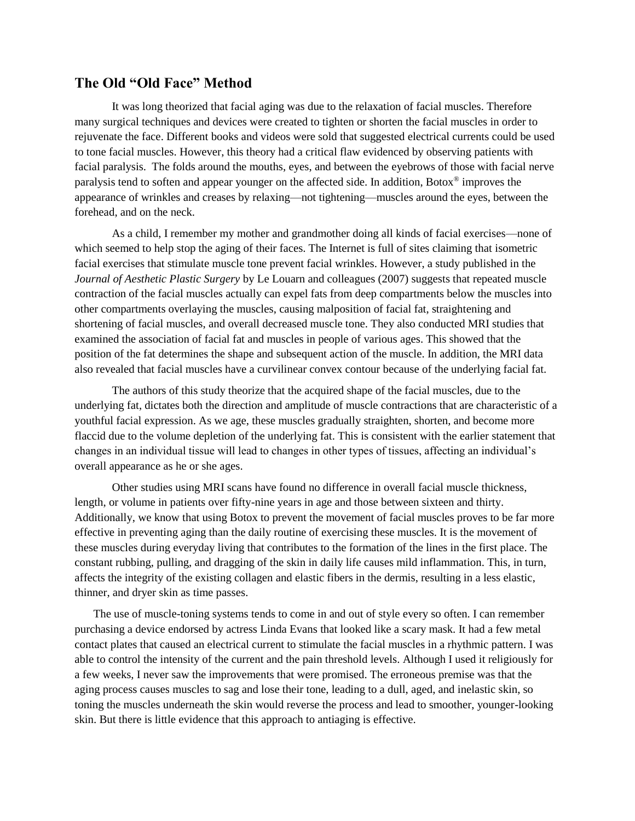### **The Old "Old Face" Method**

It was long theorized that facial aging was due to the relaxation of facial muscles. Therefore many surgical techniques and devices were created to tighten or shorten the facial muscles in order to rejuvenate the face. Different books and videos were sold that suggested electrical currents could be used to tone facial muscles. However, this theory had a critical flaw evidenced by observing patients with facial paralysis. The folds around the mouths, eyes, and between the eyebrows of those with facial nerve paralysis tend to soften and appear younger on the affected side. In addition, Botox® improves the appearance of wrinkles and creases by relaxing—not tightening—muscles around the eyes, between the forehead, and on the neck.

As a child, I remember my mother and grandmother doing all kinds of facial exercises—none of which seemed to help stop the aging of their faces. The Internet is full of sites claiming that isometric facial exercises that stimulate muscle tone prevent facial wrinkles. However, a study published in the *Journal of Aesthetic Plastic Surgery* by Le Louarn and colleagues (2007) suggests that repeated muscle contraction of the facial muscles actually can expel fats from deep compartments below the muscles into other compartments overlaying the muscles, causing malposition of facial fat, straightening and shortening of facial muscles, and overall decreased muscle tone. They also conducted MRI studies that examined the association of facial fat and muscles in people of various ages. This showed that the position of the fat determines the shape and subsequent action of the muscle. In addition, the MRI data also revealed that facial muscles have a curvilinear convex contour because of the underlying facial fat.

The authors of this study theorize that the acquired shape of the facial muscles, due to the underlying fat, dictates both the direction and amplitude of muscle contractions that are characteristic of a youthful facial expression. As we age, these muscles gradually straighten, shorten, and become more flaccid due to the volume depletion of the underlying fat. This is consistent with the earlier statement that changes in an individual tissue will lead to changes in other types of tissues, affecting an individual's overall appearance as he or she ages.

Other studies using MRI scans have found no difference in overall facial muscle thickness, length, or volume in patients over fifty-nine years in age and those between sixteen and thirty. Additionally, we know that using Botox to prevent the movement of facial muscles proves to be far more effective in preventing aging than the daily routine of exercising these muscles. It is the movement of these muscles during everyday living that contributes to the formation of the lines in the first place. The constant rubbing, pulling, and dragging of the skin in daily life causes mild inflammation. This, in turn, affects the integrity of the existing collagen and elastic fibers in the dermis, resulting in a less elastic, thinner, and dryer skin as time passes.

The use of muscle-toning systems tends to come in and out of style every so often. I can remember purchasing a device endorsed by actress Linda Evans that looked like a scary mask. It had a few metal contact plates that caused an electrical current to stimulate the facial muscles in a rhythmic pattern. I was able to control the intensity of the current and the pain threshold levels. Although I used it religiously for a few weeks, I never saw the improvements that were promised. The erroneous premise was that the aging process causes muscles to sag and lose their tone, leading to a dull, aged, and inelastic skin, so toning the muscles underneath the skin would reverse the process and lead to smoother, younger-looking skin. But there is little evidence that this approach to antiaging is effective.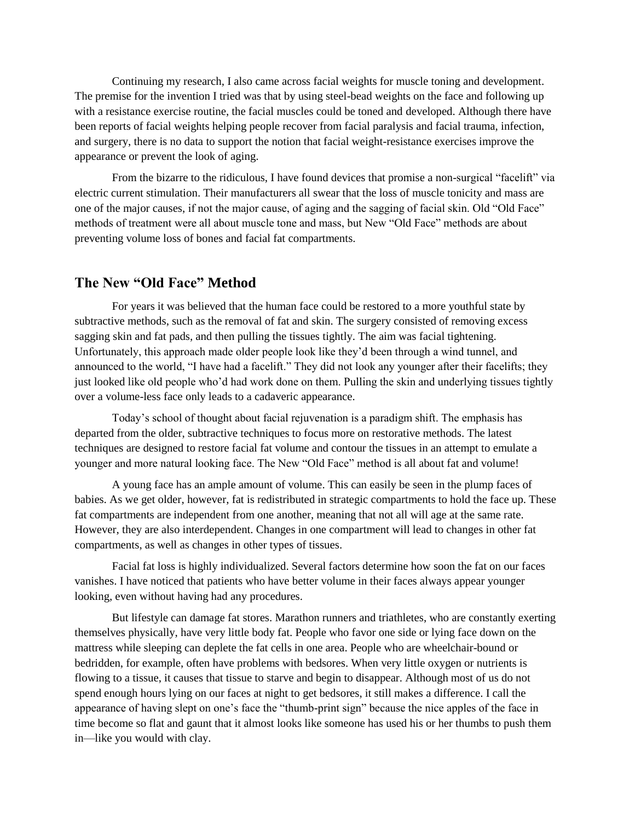Continuing my research, I also came across facial weights for muscle toning and development. The premise for the invention I tried was that by using steel-bead weights on the face and following up with a resistance exercise routine, the facial muscles could be toned and developed. Although there have been reports of facial weights helping people recover from facial paralysis and facial trauma, infection, and surgery, there is no data to support the notion that facial weight-resistance exercises improve the appearance or prevent the look of aging.

From the bizarre to the ridiculous, I have found devices that promise a non-surgical "facelift" via electric current stimulation. Their manufacturers all swear that the loss of muscle tonicity and mass are one of the major causes, if not the major cause, of aging and the sagging of facial skin. Old "Old Face" methods of treatment were all about muscle tone and mass, but New "Old Face" methods are about preventing volume loss of bones and facial fat compartments.

## **The New "Old Face" Method**

For years it was believed that the human face could be restored to a more youthful state by subtractive methods, such as the removal of fat and skin. The surgery consisted of removing excess sagging skin and fat pads, and then pulling the tissues tightly. The aim was facial tightening. Unfortunately, this approach made older people look like they'd been through a wind tunnel, and announced to the world, "I have had a facelift." They did not look any younger after their facelifts; they just looked like old people who'd had work done on them. Pulling the skin and underlying tissues tightly over a volume-less face only leads to a cadaveric appearance.

Today's school of thought about facial rejuvenation is a paradigm shift. The emphasis has departed from the older, subtractive techniques to focus more on restorative methods. The latest techniques are designed to restore facial fat volume and contour the tissues in an attempt to emulate a younger and more natural looking face. The New "Old Face" method is all about fat and volume!

A young face has an ample amount of volume. This can easily be seen in the plump faces of babies. As we get older, however, fat is redistributed in strategic compartments to hold the face up. These fat compartments are independent from one another, meaning that not all will age at the same rate. However, they are also interdependent. Changes in one compartment will lead to changes in other fat compartments, as well as changes in other types of tissues.

Facial fat loss is highly individualized. Several factors determine how soon the fat on our faces vanishes. I have noticed that patients who have better volume in their faces always appear younger looking, even without having had any procedures.

But lifestyle can damage fat stores. Marathon runners and triathletes, who are constantly exerting themselves physically, have very little body fat. People who favor one side or lying face down on the mattress while sleeping can deplete the fat cells in one area. People who are wheelchair-bound or bedridden, for example, often have problems with bedsores. When very little oxygen or nutrients is flowing to a tissue, it causes that tissue to starve and begin to disappear. Although most of us do not spend enough hours lying on our faces at night to get bedsores, it still makes a difference. I call the appearance of having slept on one's face the "thumb-print sign" because the nice apples of the face in time become so flat and gaunt that it almost looks like someone has used his or her thumbs to push them in—like you would with clay.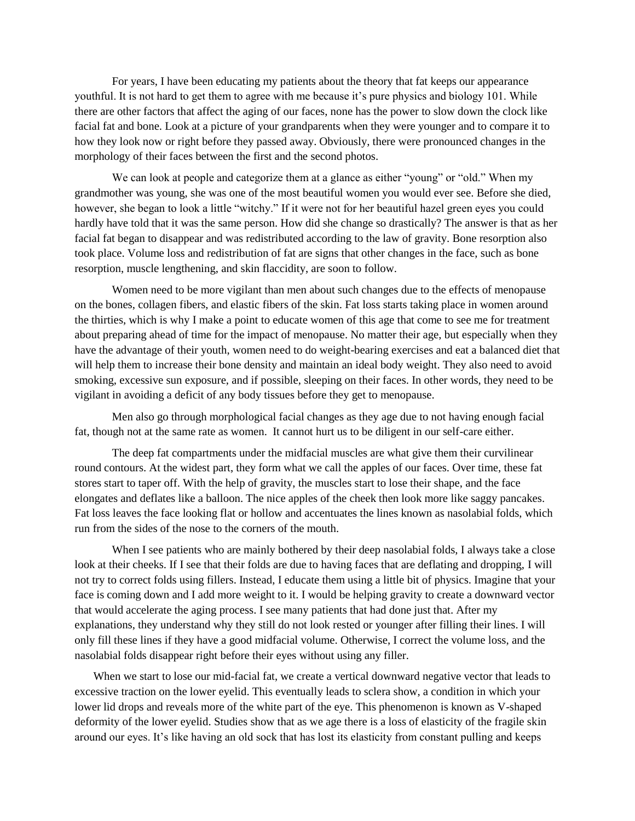For years, I have been educating my patients about the theory that fat keeps our appearance youthful. It is not hard to get them to agree with me because it's pure physics and biology 101. While there are other factors that affect the aging of our faces, none has the power to slow down the clock like facial fat and bone. Look at a picture of your grandparents when they were younger and to compare it to how they look now or right before they passed away. Obviously, there were pronounced changes in the morphology of their faces between the first and the second photos.

We can look at people and categorize them at a glance as either "young" or "old." When my grandmother was young, she was one of the most beautiful women you would ever see. Before she died, however, she began to look a little "witchy." If it were not for her beautiful hazel green eyes you could hardly have told that it was the same person. How did she change so drastically? The answer is that as her facial fat began to disappear and was redistributed according to the law of gravity. Bone resorption also took place. Volume loss and redistribution of fat are signs that other changes in the face, such as bone resorption, muscle lengthening, and skin flaccidity, are soon to follow.

Women need to be more vigilant than men about such changes due to the effects of menopause on the bones, collagen fibers, and elastic fibers of the skin. Fat loss starts taking place in women around the thirties, which is why I make a point to educate women of this age that come to see me for treatment about preparing ahead of time for the impact of menopause. No matter their age, but especially when they have the advantage of their youth, women need to do weight-bearing exercises and eat a balanced diet that will help them to increase their bone density and maintain an ideal body weight. They also need to avoid smoking, excessive sun exposure, and if possible, sleeping on their faces. In other words, they need to be vigilant in avoiding a deficit of any body tissues before they get to menopause.

Men also go through morphological facial changes as they age due to not having enough facial fat, though not at the same rate as women. It cannot hurt us to be diligent in our self-care either.

The deep fat compartments under the midfacial muscles are what give them their curvilinear round contours. At the widest part, they form what we call the apples of our faces. Over time, these fat stores start to taper off. With the help of gravity, the muscles start to lose their shape, and the face elongates and deflates like a balloon. The nice apples of the cheek then look more like saggy pancakes. Fat loss leaves the face looking flat or hollow and accentuates the lines known as nasolabial folds, which run from the sides of the nose to the corners of the mouth.

When I see patients who are mainly bothered by their deep nasolabial folds, I always take a close look at their cheeks. If I see that their folds are due to having faces that are deflating and dropping, I will not try to correct folds using fillers. Instead, I educate them using a little bit of physics. Imagine that your face is coming down and I add more weight to it. I would be helping gravity to create a downward vector that would accelerate the aging process. I see many patients that had done just that. After my explanations, they understand why they still do not look rested or younger after filling their lines. I will only fill these lines if they have a good midfacial volume. Otherwise, I correct the volume loss, and the nasolabial folds disappear right before their eyes without using any filler.

When we start to lose our mid-facial fat, we create a vertical downward negative vector that leads to excessive traction on the lower eyelid. This eventually leads to sclera show, a condition in which your lower lid drops and reveals more of the white part of the eye. This phenomenon is known as V-shaped deformity of the lower eyelid. Studies show that as we age there is a loss of elasticity of the fragile skin around our eyes. It's like having an old sock that has lost its elasticity from constant pulling and keeps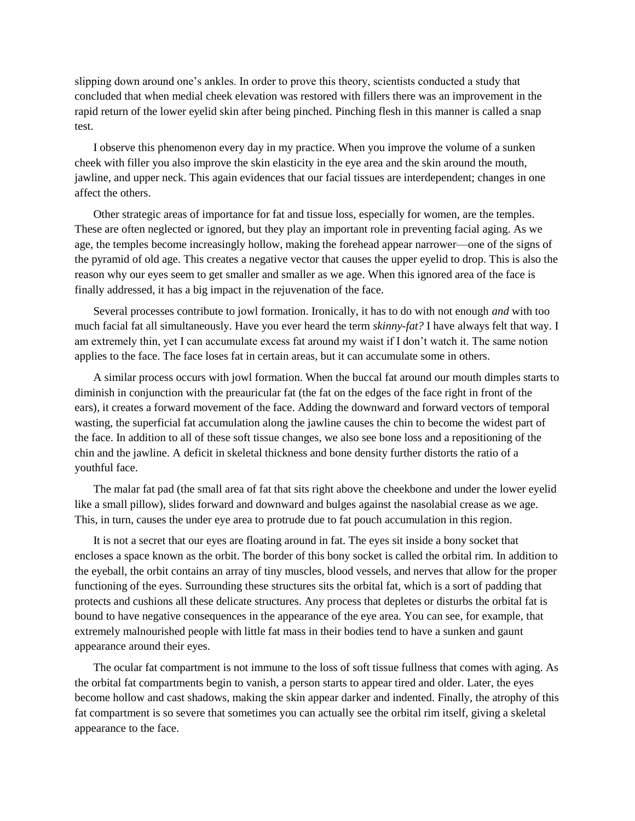slipping down around one's ankles. In order to prove this theory, scientists conducted a study that concluded that when medial cheek elevation was restored with fillers there was an improvement in the rapid return of the lower eyelid skin after being pinched. Pinching flesh in this manner is called a snap test.

I observe this phenomenon every day in my practice. When you improve the volume of a sunken cheek with filler you also improve the skin elasticity in the eye area and the skin around the mouth, jawline, and upper neck. This again evidences that our facial tissues are interdependent; changes in one affect the others.

Other strategic areas of importance for fat and tissue loss, especially for women, are the temples. These are often neglected or ignored, but they play an important role in preventing facial aging. As we age, the temples become increasingly hollow, making the forehead appear narrower—one of the signs of the pyramid of old age. This creates a negative vector that causes the upper eyelid to drop. This is also the reason why our eyes seem to get smaller and smaller as we age. When this ignored area of the face is finally addressed, it has a big impact in the rejuvenation of the face.

Several processes contribute to jowl formation. Ironically, it has to do with not enough *and* with too much facial fat all simultaneously. Have you ever heard the term *skinny-fat?* I have always felt that way. I am extremely thin, yet I can accumulate excess fat around my waist if I don't watch it. The same notion applies to the face. The face loses fat in certain areas, but it can accumulate some in others.

A similar process occurs with jowl formation. When the buccal fat around our mouth dimples starts to diminish in conjunction with the preauricular fat (the fat on the edges of the face right in front of the ears), it creates a forward movement of the face. Adding the downward and forward vectors of temporal wasting, the superficial fat accumulation along the jawline causes the chin to become the widest part of the face. In addition to all of these soft tissue changes, we also see bone loss and a repositioning of the chin and the jawline. A deficit in skeletal thickness and bone density further distorts the ratio of a youthful face.

The malar fat pad (the small area of fat that sits right above the cheekbone and under the lower eyelid like a small pillow), slides forward and downward and bulges against the nasolabial crease as we age. This, in turn, causes the under eye area to protrude due to fat pouch accumulation in this region.

It is not a secret that our eyes are floating around in fat. The eyes sit inside a bony socket that encloses a space known as the orbit. The border of this bony socket is called the orbital rim. In addition to the eyeball, the orbit contains an array of tiny muscles, blood vessels, and nerves that allow for the proper functioning of the eyes. Surrounding these structures sits the orbital fat, which is a sort of padding that protects and cushions all these delicate structures. Any process that depletes or disturbs the orbital fat is bound to have negative consequences in the appearance of the eye area. You can see, for example, that extremely malnourished people with little fat mass in their bodies tend to have a sunken and gaunt appearance around their eyes.

The ocular fat compartment is not immune to the loss of soft tissue fullness that comes with aging. As the orbital fat compartments begin to vanish, a person starts to appear tired and older. Later, the eyes become hollow and cast shadows, making the skin appear darker and indented. Finally, the atrophy of this fat compartment is so severe that sometimes you can actually see the orbital rim itself, giving a skeletal appearance to the face.